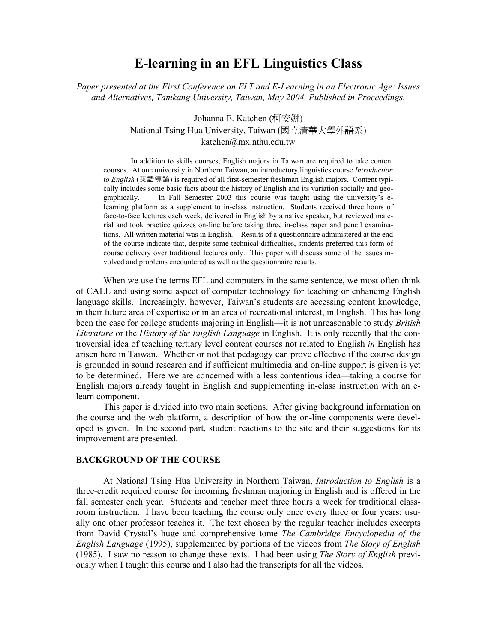# **E-learning in an EFL Linguistics Class**

*Paper presented at the First Conference on ELT and E-Learning in an Electronic Age: Issues and Alternatives, Tamkang University, Taiwan, May 2004. Published in Proceedings.* 

> Johanna E. Katchen (柯安娜) National Tsing Hua University, Taiwan (國立清華大學外語系) katchen@mx.nthu.edu.tw

 In addition to skills courses, English majors in Taiwan are required to take content courses. At one university in Northern Taiwan, an introductory linguistics course *Introduction to English* (英語導論) is required of all first-semester freshman English majors. Content typically includes some basic facts about the history of English and its variation socially and geographically. In Fall Semester 2003 this course was taught using the university's elearning platform as a supplement to in-class instruction. Students received three hours of face-to-face lectures each week, delivered in English by a native speaker, but reviewed material and took practice quizzes on-line before taking three in-class paper and pencil examinations. All written material was in English. Results of a questionnaire administered at the end of the course indicate that, despite some technical difficulties, students preferred this form of course delivery over traditional lectures only. This paper will discuss some of the issues involved and problems encountered as well as the questionnaire results.

 When we use the terms EFL and computers in the same sentence, we most often think of CALL and using some aspect of computer technology for teaching or enhancing English language skills. Increasingly, however, Taiwan's students are accessing content knowledge, in their future area of expertise or in an area of recreational interest, in English. This has long been the case for college students majoring in English—it is not unreasonable to study *British Literature* or the *History of the English Language* in English. It is only recently that the controversial idea of teaching tertiary level content courses not related to English *in* English has arisen here in Taiwan. Whether or not that pedagogy can prove effective if the course design is grounded in sound research and if sufficient multimedia and on-line support is given is yet to be determined. Here we are concerned with a less contentious idea—taking a course for English majors already taught in English and supplementing in-class instruction with an elearn component.

 This paper is divided into two main sections. After giving background information on the course and the web platform, a description of how the on-line components were developed is given. In the second part, student reactions to the site and their suggestions for its improvement are presented.

#### **BACKGROUND OF THE COURSE**

 At National Tsing Hua University in Northern Taiwan, *Introduction to English* is a three-credit required course for incoming freshman majoring in English and is offered in the fall semester each year. Students and teacher meet three hours a week for traditional classroom instruction. I have been teaching the course only once every three or four years; usually one other professor teaches it. The text chosen by the regular teacher includes excerpts from David Crystal's huge and comprehensive tome *The Cambridge Encyclopedia of the English Language* (1995), supplemented by portions of the videos from *The Story of English*  (1985). I saw no reason to change these texts. I had been using *The Story of English* previously when I taught this course and I also had the transcripts for all the videos.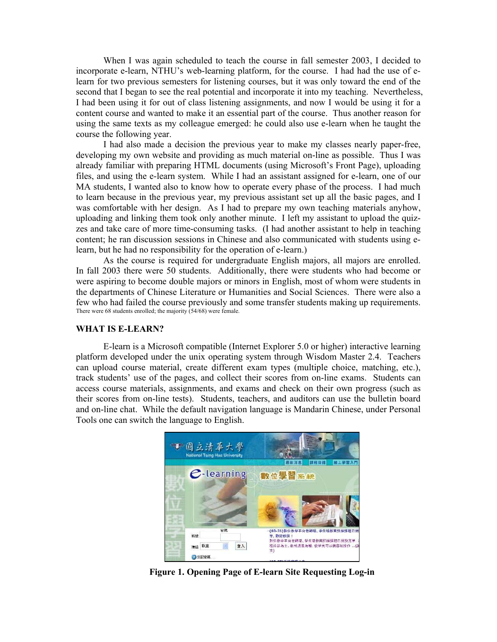When I was again scheduled to teach the course in fall semester 2003, I decided to incorporate e-learn, NTHU's web-learning platform, for the course. I had had the use of elearn for two previous semesters for listening courses, but it was only toward the end of the second that I began to see the real potential and incorporate it into my teaching. Nevertheless, I had been using it for out of class listening assignments, and now I would be using it for a content course and wanted to make it an essential part of the course. Thus another reason for using the same texts as my colleague emerged: he could also use e-learn when he taught the course the following year.

 I had also made a decision the previous year to make my classes nearly paper-free, developing my own website and providing as much material on-line as possible. Thus I was already familiar with preparing HTML documents (using Microsoft's Front Page), uploading files, and using the e-learn system. While I had an assistant assigned for e-learn, one of our MA students, I wanted also to know how to operate every phase of the process. I had much to learn because in the previous year, my previous assistant set up all the basic pages, and I was comfortable with her design. As I had to prepare my own teaching materials anyhow, uploading and linking them took only another minute. I left my assistant to upload the quizzes and take care of more time-consuming tasks. (I had another assistant to help in teaching content; he ran discussion sessions in Chinese and also communicated with students using elearn, but he had no responsibility for the operation of e-learn.)

 As the course is required for undergraduate English majors, all majors are enrolled. In fall 2003 there were 50 students. Additionally, there were students who had become or were aspiring to become double majors or minors in English, most of whom were students in the departments of Chinese Literature or Humanities and Social Sciences. There were also a few who had failed the course previously and some transfer students making up requirements. There were 68 students enrolled; the majority (54/68) were female.

#### **WHAT IS E-LEARN?**

E-learn is a Microsoft compatible (Internet Explorer 5.0 or higher) interactive learning platform developed under the unix operating system through Wisdom Master 2.4. Teachers can upload course material, create different exam types (multiple choice, matching, etc.), track students' use of the pages, and collect their scores from on-line exams. Students can access course materials, assignments, and exams and check on their own progress (such as their scores from on-line tests). Students, teachers, and auditors can use the bulletin board and on-line chat. While the default navigation language is Mandarin Chinese, under Personal Tools one can switch the language to English.



**Figure 1. Opening Page of E-learn Site Requesting Log-in**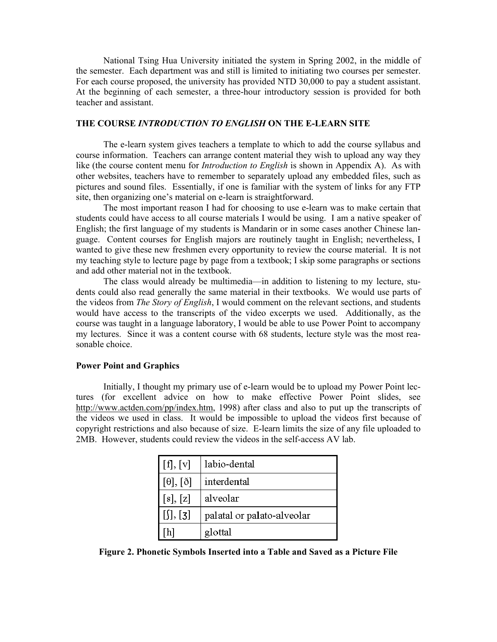National Tsing Hua University initiated the system in Spring 2002, in the middle of the semester. Each department was and still is limited to initiating two courses per semester. For each course proposed, the university has provided NTD 30,000 to pay a student assistant. At the beginning of each semester, a three-hour introductory session is provided for both teacher and assistant.

#### **THE COURSE** *INTRODUCTION TO ENGLISH* **ON THE E-LEARN SITE**

 The e-learn system gives teachers a template to which to add the course syllabus and course information. Teachers can arrange content material they wish to upload any way they like (the course content menu for *Introduction to English* is shown in Appendix A). As with other websites, teachers have to remember to separately upload any embedded files, such as pictures and sound files. Essentially, if one is familiar with the system of links for any FTP site, then organizing one's material on e-learn is straightforward.

 The most important reason I had for choosing to use e-learn was to make certain that students could have access to all course materials I would be using. I am a native speaker of English; the first language of my students is Mandarin or in some cases another Chinese language. Content courses for English majors are routinely taught in English; nevertheless, I wanted to give these new freshmen every opportunity to review the course material. It is not my teaching style to lecture page by page from a textbook; I skip some paragraphs or sections and add other material not in the textbook.

 The class would already be multimedia—in addition to listening to my lecture, students could also read generally the same material in their textbooks. We would use parts of the videos from *The Story of English*, I would comment on the relevant sections, and students would have access to the transcripts of the video excerpts we used. Additionally, as the course was taught in a language laboratory, I would be able to use Power Point to accompany my lectures. Since it was a content course with 68 students, lecture style was the most reasonable choice.

## **Power Point and Graphics**

Initially, I thought my primary use of e-learn would be to upload my Power Point lectures (for excellent advice on how to make effective Power Point slides, see http://www.actden.com/pp/index.htm, 1998) after class and also to put up the transcripts of the videos we used in class. It would be impossible to upload the videos first because of copyright restrictions and also because of size. E-learn limits the size of any file uploaded to 2MB. However, students could review the videos in the self-access AV lab.

| [f], [v]             | labio-dental               |
|----------------------|----------------------------|
| $[\theta], [\delta]$ | interdental                |
| [s], [z]             | alveolar                   |
| $[$ [J], [3]         | palatal or palato-alveolar |
| h]                   | glottal                    |

**Figure 2. Phonetic Symbols Inserted into a Table and Saved as a Picture File**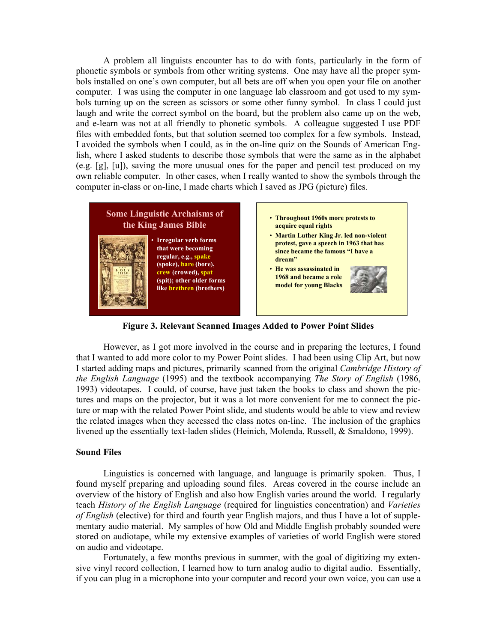A problem all linguists encounter has to do with fonts, particularly in the form of phonetic symbols or symbols from other writing systems. One may have all the proper symbols installed on one's own computer, but all bets are off when you open your file on another computer. I was using the computer in one language lab classroom and got used to my symbols turning up on the screen as scissors or some other funny symbol. In class I could just laugh and write the correct symbol on the board, but the problem also came up on the web, and e-learn was not at all friendly to phonetic symbols. A colleague suggested I use PDF files with embedded fonts, but that solution seemed too complex for a few symbols. Instead, I avoided the symbols when I could, as in the on-line quiz on the Sounds of American English, where I asked students to describe those symbols that were the same as in the alphabet (e.g. [g], [u]), saving the more unusual ones for the paper and pencil test produced on my own reliable computer. In other cases, when I really wanted to show the symbols through the computer in-class or on-line, I made charts which I saved as JPG (picture) files.



**Figure 3. Relevant Scanned Images Added to Power Point Slides**

 However, as I got more involved in the course and in preparing the lectures, I found that I wanted to add more color to my Power Point slides. I had been using Clip Art, but now I started adding maps and pictures, primarily scanned from the original *Cambridge History of the English Language* (1995) and the textbook accompanying *The Story of English* (1986, 1993) videotapes. I could, of course, have just taken the books to class and shown the pictures and maps on the projector, but it was a lot more convenient for me to connect the picture or map with the related Power Point slide, and students would be able to view and review the related images when they accessed the class notes on-line. The inclusion of the graphics livened up the essentially text-laden slides (Heinich, Molenda, Russell, & Smaldono, 1999).

## **Sound Files**

Linguistics is concerned with language, and language is primarily spoken. Thus, I found myself preparing and uploading sound files. Areas covered in the course include an overview of the history of English and also how English varies around the world. I regularly teach *History of the English Language* (required for linguistics concentration) and *Varieties of English* (elective) for third and fourth year English majors, and thus I have a lot of supplementary audio material. My samples of how Old and Middle English probably sounded were stored on audiotape, while my extensive examples of varieties of world English were stored on audio and videotape.

 Fortunately, a few months previous in summer, with the goal of digitizing my extensive vinyl record collection, I learned how to turn analog audio to digital audio. Essentially, if you can plug in a microphone into your computer and record your own voice, you can use a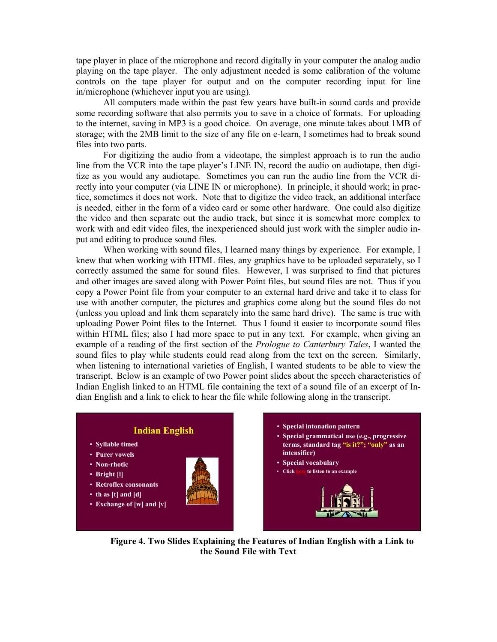tape player in place of the microphone and record digitally in your computer the analog audio playing on the tape player. The only adjustment needed is some calibration of the volume controls on the tape player for output and on the computer recording input for line in/microphone (whichever input you are using).

 All computers made within the past few years have built-in sound cards and provide some recording software that also permits you to save in a choice of formats. For uploading to the internet, saving in MP3 is a good choice. On average, one minute takes about 1MB of storage; with the 2MB limit to the size of any file on e-learn, I sometimes had to break sound files into two parts.

For digitizing the audio from a videotape, the simplest approach is to run the audio line from the VCR into the tape player's LINE IN, record the audio on audiotape, then digitize as you would any audiotape. Sometimes you can run the audio line from the VCR directly into your computer (via LINE IN or microphone). In principle, it should work; in practice, sometimes it does not work. Note that to digitize the video track, an additional interface is needed, either in the form of a video card or some other hardware. One could also digitize the video and then separate out the audio track, but since it is somewhat more complex to work with and edit video files, the inexperienced should just work with the simpler audio input and editing to produce sound files.

When working with sound files, I learned many things by experience. For example, I knew that when working with HTML files, any graphics have to be uploaded separately, so I correctly assumed the same for sound files. However, I was surprised to find that pictures and other images are saved along with Power Point files, but sound files are not. Thus if you copy a Power Point file from your computer to an external hard drive and take it to class for use with another computer, the pictures and graphics come along but the sound files do not (unless you upload and link them separately into the same hard drive). The same is true with uploading Power Point files to the Internet. Thus I found it easier to incorporate sound files within HTML files; also I had more space to put in any text. For example, when giving an example of a reading of the first section of the *Prologue to Canterbury Tales*, I wanted the sound files to play while students could read along from the text on the screen. Similarly, when listening to international varieties of English, I wanted students to be able to view the transcript. Below is an example of two Power point slides about the speech characteristics of Indian English linked to an HTML file containing the text of a sound file of an excerpt of Indian English and a link to click to hear the file while following along in the transcript.



**Figure 4. Two Slides Explaining the Features of Indian English with a Link to the Sound File with Text**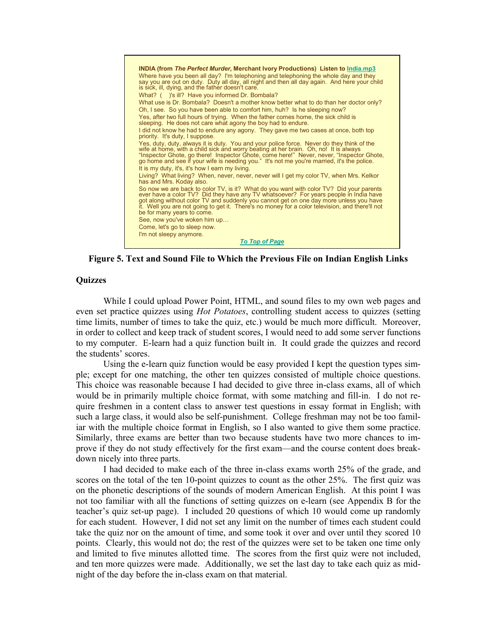

**Figure 5. Text and Sound File to Which the Previous File on Indian English Links** 

#### **Quizzes**

While I could upload Power Point, HTML, and sound files to my own web pages and even set practice quizzes using *Hot Potatoes*, controlling student access to quizzes (setting time limits, number of times to take the quiz, etc.) would be much more difficult. Moreover, in order to collect and keep track of student scores, I would need to add some server functions to my computer. E-learn had a quiz function built in. It could grade the quizzes and record the students' scores.

 Using the e-learn quiz function would be easy provided I kept the question types simple; except for one matching, the other ten quizzes consisted of multiple choice questions. This choice was reasonable because I had decided to give three in-class exams, all of which would be in primarily multiple choice format, with some matching and fill-in. I do not require freshmen in a content class to answer test questions in essay format in English; with such a large class, it would also be self-punishment. College freshman may not be too familiar with the multiple choice format in English, so I also wanted to give them some practice. Similarly, three exams are better than two because students have two more chances to improve if they do not study effectively for the first exam—and the course content does breakdown nicely into three parts.

 I had decided to make each of the three in-class exams worth 25% of the grade, and scores on the total of the ten 10-point quizzes to count as the other 25%. The first quiz was on the phonetic descriptions of the sounds of modern American English. At this point I was not too familiar with all the functions of setting quizzes on e-learn (see Appendix B for the teacher's quiz set-up page). I included 20 questions of which 10 would come up randomly for each student. However, I did not set any limit on the number of times each student could take the quiz nor on the amount of time, and some took it over and over until they scored 10 points. Clearly, this would not do; the rest of the quizzes were set to be taken one time only and limited to five minutes allotted time. The scores from the first quiz were not included, and ten more quizzes were made. Additionally, we set the last day to take each quiz as midnight of the day before the in-class exam on that material.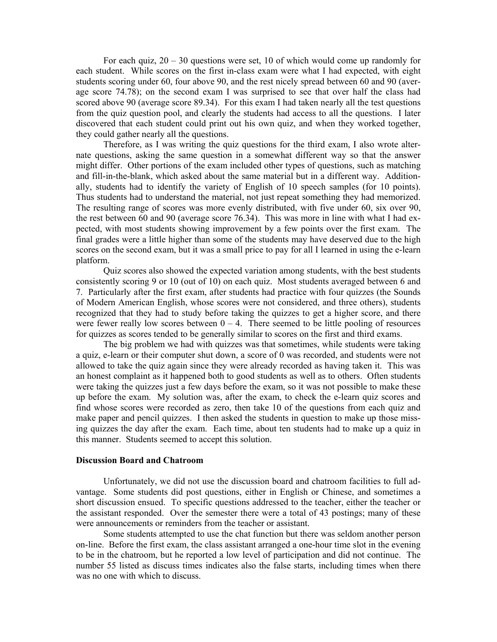For each quiz,  $20 - 30$  questions were set, 10 of which would come up randomly for each student. While scores on the first in-class exam were what I had expected, with eight students scoring under 60, four above 90, and the rest nicely spread between 60 and 90 (average score 74.78); on the second exam I was surprised to see that over half the class had scored above 90 (average score 89.34). For this exam I had taken nearly all the test questions from the quiz question pool, and clearly the students had access to all the questions. I later discovered that each student could print out his own quiz, and when they worked together, they could gather nearly all the questions.

 Therefore, as I was writing the quiz questions for the third exam, I also wrote alternate questions, asking the same question in a somewhat different way so that the answer might differ. Other portions of the exam included other types of questions, such as matching and fill-in-the-blank, which asked about the same material but in a different way. Additionally, students had to identify the variety of English of 10 speech samples (for 10 points). Thus students had to understand the material, not just repeat something they had memorized. The resulting range of scores was more evenly distributed, with five under 60, six over 90, the rest between 60 and 90 (average score 76.34). This was more in line with what I had expected, with most students showing improvement by a few points over the first exam. The final grades were a little higher than some of the students may have deserved due to the high scores on the second exam, but it was a small price to pay for all I learned in using the e-learn platform.

 Quiz scores also showed the expected variation among students, with the best students consistently scoring 9 or 10 (out of 10) on each quiz. Most students averaged between 6 and 7. Particularly after the first exam, after students had practice with four quizzes (the Sounds of Modern American English, whose scores were not considered, and three others), students recognized that they had to study before taking the quizzes to get a higher score, and there were fewer really low scores between  $0 - 4$ . There seemed to be little pooling of resources for quizzes as scores tended to be generally similar to scores on the first and third exams.

 The big problem we had with quizzes was that sometimes, while students were taking a quiz, e-learn or their computer shut down, a score of 0 was recorded, and students were not allowed to take the quiz again since they were already recorded as having taken it. This was an honest complaint as it happened both to good students as well as to others. Often students were taking the quizzes just a few days before the exam, so it was not possible to make these up before the exam. My solution was, after the exam, to check the e-learn quiz scores and find whose scores were recorded as zero, then take 10 of the questions from each quiz and make paper and pencil quizzes. I then asked the students in question to make up those missing quizzes the day after the exam. Each time, about ten students had to make up a quiz in this manner. Students seemed to accept this solution.

#### **Discussion Board and Chatroom**

Unfortunately, we did not use the discussion board and chatroom facilities to full advantage. Some students did post questions, either in English or Chinese, and sometimes a short discussion ensued. To specific questions addressed to the teacher, either the teacher or the assistant responded. Over the semester there were a total of 43 postings; many of these were announcements or reminders from the teacher or assistant.

 Some students attempted to use the chat function but there was seldom another person on-line. Before the first exam, the class assistant arranged a one-hour time slot in the evening to be in the chatroom, but he reported a low level of participation and did not continue. The number 55 listed as discuss times indicates also the false starts, including times when there was no one with which to discuss.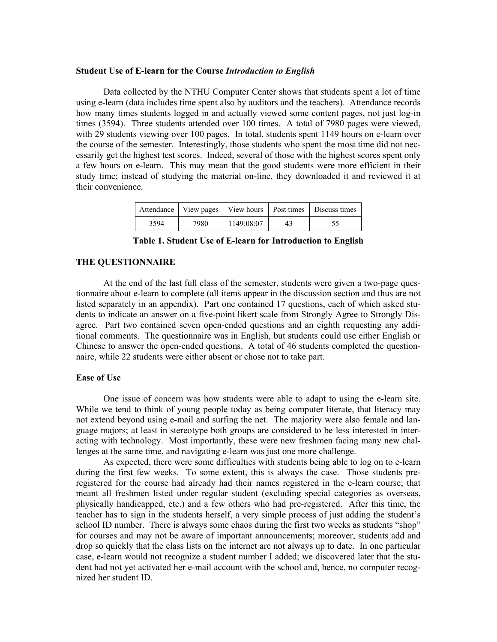#### **Student Use of E-learn for the Course** *Introduction to English*

Data collected by the NTHU Computer Center shows that students spent a lot of time using e-learn (data includes time spent also by auditors and the teachers). Attendance records how many times students logged in and actually viewed some content pages, not just log-in times (3594). Three students attended over 100 times. A total of 7980 pages were viewed, with 29 students viewing over 100 pages. In total, students spent 1149 hours on e-learn over the course of the semester. Interestingly, those students who spent the most time did not necessarily get the highest test scores. Indeed, several of those with the highest scores spent only a few hours on e-learn. This may mean that the good students were more efficient in their study time; instead of studying the material on-line, they downloaded it and reviewed it at their convenience.

|      |      |            |    | Attendance   View pages   View hours   Post times   Discuss times |
|------|------|------------|----|-------------------------------------------------------------------|
| 3594 | 7980 | 1149:08:07 | 43 |                                                                   |

**Table 1. Student Use of E-learn for Introduction to English** 

#### **THE QUESTIONNAIRE**

 At the end of the last full class of the semester, students were given a two-page questionnaire about e-learn to complete (all items appear in the discussion section and thus are not listed separately in an appendix). Part one contained 17 questions, each of which asked students to indicate an answer on a five-point likert scale from Strongly Agree to Strongly Disagree. Part two contained seven open-ended questions and an eighth requesting any additional comments. The questionnaire was in English, but students could use either English or Chinese to answer the open-ended questions. A total of 46 students completed the questionnaire, while 22 students were either absent or chose not to take part.

#### **Ease of Use**

One issue of concern was how students were able to adapt to using the e-learn site. While we tend to think of young people today as being computer literate, that literacy may not extend beyond using e-mail and surfing the net. The majority were also female and language majors; at least in stereotype both groups are considered to be less interested in interacting with technology. Most importantly, these were new freshmen facing many new challenges at the same time, and navigating e-learn was just one more challenge.

 As expected, there were some difficulties with students being able to log on to e-learn during the first few weeks. To some extent, this is always the case. Those students preregistered for the course had already had their names registered in the e-learn course; that meant all freshmen listed under regular student (excluding special categories as overseas, physically handicapped, etc.) and a few others who had pre-registered. After this time, the teacher has to sign in the students herself, a very simple process of just adding the student's school ID number. There is always some chaos during the first two weeks as students "shop" for courses and may not be aware of important announcements; moreover, students add and drop so quickly that the class lists on the internet are not always up to date. In one particular case, e-learn would not recognize a student number I added; we discovered later that the student had not yet activated her e-mail account with the school and, hence, no computer recognized her student ID.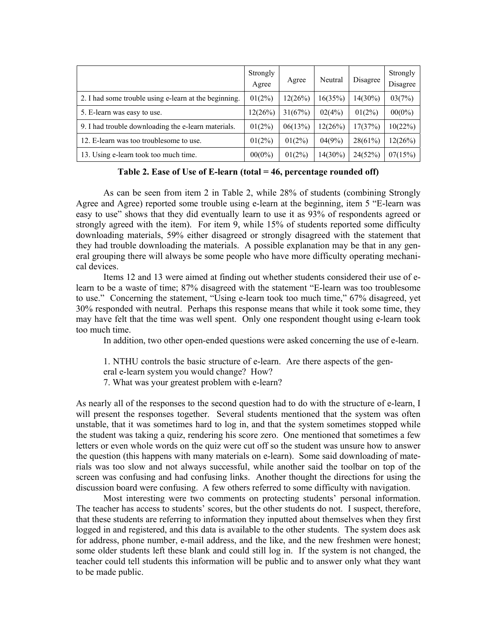|                                                       | Strongly<br>Agree | Agree     | Neutral    | Disagree  | Strongly<br>Disagree |
|-------------------------------------------------------|-------------------|-----------|------------|-----------|----------------------|
| 2. I had some trouble using e-learn at the beginning. | 01(2%)            | 12(26%)   | 16(35%)    | 14(30%)   | 03(7%)               |
| 5. E-learn was easy to use.                           | 12(26%)           | 31(67%)   | 02(4%)     | $01(2\%)$ | $00(0\%)$            |
| 9. I had trouble downloading the e-learn materials.   | 01(2%)            | 06(13%)   | 12(26%)    | 17(37%)   | 10(22%)              |
| 12. E-learn was too troublesome to use.               | $01(2\%)$         | 01(2%)    | 04(9%)     | 28(61%)   | 12(26%)              |
| 13. Using e-learn took too much time.                 | $00(0\%)$         | $01(2\%)$ | $14(30\%)$ | 24(52%)   | 07(15%)              |

**Table 2. Ease of Use of E-learn (total = 46, percentage rounded off)** 

 As can be seen from item 2 in Table 2, while 28% of students (combining Strongly Agree and Agree) reported some trouble using e-learn at the beginning, item 5 "E-learn was easy to use" shows that they did eventually learn to use it as 93% of respondents agreed or strongly agreed with the item). For item 9, while 15% of students reported some difficulty downloading materials, 59% either disagreed or strongly disagreed with the statement that they had trouble downloading the materials. A possible explanation may be that in any general grouping there will always be some people who have more difficulty operating mechanical devices.

 Items 12 and 13 were aimed at finding out whether students considered their use of elearn to be a waste of time; 87% disagreed with the statement "E-learn was too troublesome to use." Concerning the statement, "Using e-learn took too much time," 67% disagreed, yet 30% responded with neutral. Perhaps this response means that while it took some time, they may have felt that the time was well spent. Only one respondent thought using e-learn took too much time.

In addition, two other open-ended questions were asked concerning the use of e-learn.

1. NTHU controls the basic structure of e-learn. Are there aspects of the general e-learn system you would change? How?

7. What was your greatest problem with e-learn?

As nearly all of the responses to the second question had to do with the structure of e-learn, I will present the responses together. Several students mentioned that the system was often unstable, that it was sometimes hard to log in, and that the system sometimes stopped while the student was taking a quiz, rendering his score zero. One mentioned that sometimes a few letters or even whole words on the quiz were cut off so the student was unsure how to answer the question (this happens with many materials on e-learn). Some said downloading of materials was too slow and not always successful, while another said the toolbar on top of the screen was confusing and had confusing links. Another thought the directions for using the discussion board were confusing. A few others referred to some difficulty with navigation.

 Most interesting were two comments on protecting students' personal information. The teacher has access to students' scores, but the other students do not. I suspect, therefore, that these students are referring to information they inputted about themselves when they first logged in and registered, and this data is available to the other students. The system does ask for address, phone number, e-mail address, and the like, and the new freshmen were honest; some older students left these blank and could still log in. If the system is not changed, the teacher could tell students this information will be public and to answer only what they want to be made public.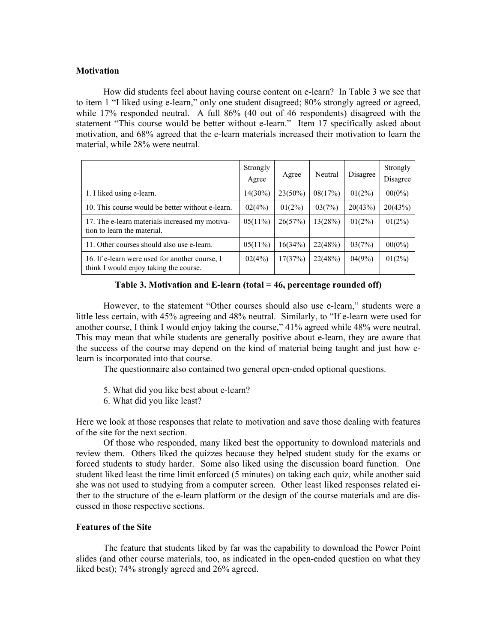## **Motivation**

How did students feel about having course content on e-learn? In Table 3 we see that to item 1 "I liked using e-learn," only one student disagreed; 80% strongly agreed or agreed, while 17% responded neutral. A full 86% (40 out of 46 respondents) disagreed with the statement "This course would be better without e-learn." Item 17 specifically asked about motivation, and 68% agreed that the e-learn materials increased their motivation to learn the material, while 28% were neutral.

|                                                                                          | Strongly<br>Agree | Agree      | Neutral | Disagree  | Strongly<br>Disagree |
|------------------------------------------------------------------------------------------|-------------------|------------|---------|-----------|----------------------|
| 1. I liked using e-learn.                                                                | $14(30\%)$        | $23(50\%)$ | 08(17%) | $01(2\%)$ | $00(0\%)$            |
| 10. This course would be better without e-learn.                                         | 02(4%)            | $01(2\%)$  | 03(7%)  | 20(43%)   | 20(43%)              |
| 17. The e-learn materials increased my motiva-<br>tion to learn the material.            | $05(11\%)$        | 26(57%)    | 13(28%) | $01(2\%)$ | $01(2\%)$            |
| 11. Other courses should also use e-learn.                                               | $05(11\%)$        | 16(34%)    | 22(48%) | 03(7%)    | $00(0\%)$            |
| 16. If e-learn were used for another course, I<br>think I would enjoy taking the course. | 02(4%)            | 17(37%)    | 22(48%) | 04(9%)    | $01(2\%)$            |

**Table 3. Motivation and E-learn (total = 46, percentage rounded off)** 

 However, to the statement "Other courses should also use e-learn," students were a little less certain, with 45% agreeing and 48% neutral. Similarly, to "If e-learn were used for another course, I think I would enjoy taking the course," 41% agreed while 48% were neutral. This may mean that while students are generally positive about e-learn, they are aware that the success of the course may depend on the kind of material being taught and just how elearn is incorporated into that course.

The questionnaire also contained two general open-ended optional questions.

- 5. What did you like best about e-learn?
- 6. What did you like least?

Here we look at those responses that relate to motivation and save those dealing with features of the site for the next section.

 Of those who responded, many liked best the opportunity to download materials and review them. Others liked the quizzes because they helped student study for the exams or forced students to study harder. Some also liked using the discussion board function. One student liked least the time limit enforced (5 minutes) on taking each quiz, while another said she was not used to studying from a computer screen. Other least liked responses related either to the structure of the e-learn platform or the design of the course materials and are discussed in those respective sections.

## **Features of the Site**

The feature that students liked by far was the capability to download the Power Point slides (and other course materials, too, as indicated in the open-ended question on what they liked best); 74% strongly agreed and 26% agreed.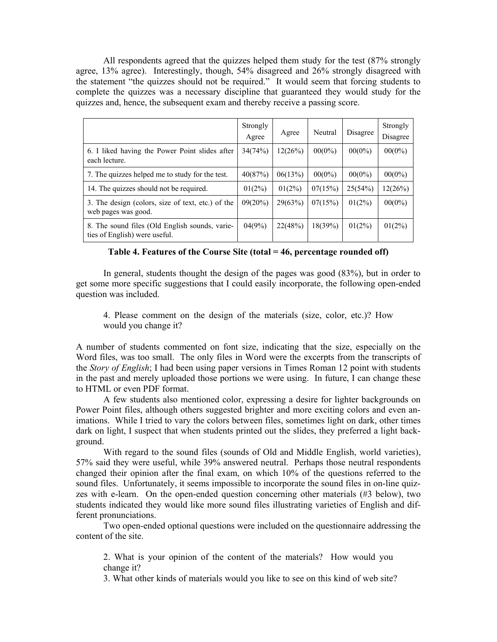All respondents agreed that the quizzes helped them study for the test (87% strongly agree, 13% agree). Interestingly, though, 54% disagreed and 26% strongly disagreed with the statement "the quizzes should not be required." It would seem that forcing students to complete the quizzes was a necessary discipline that guaranteed they would study for the quizzes and, hence, the subsequent exam and thereby receive a passing score.

|                                                                                 | Strongly<br>Agree | Agree     | Neutral   | Disagree  | Strongly<br>Disagree |
|---------------------------------------------------------------------------------|-------------------|-----------|-----------|-----------|----------------------|
| 6. I liked having the Power Point slides after<br>each lecture.                 | 34(74%)           | 12(26%)   | $00(0\%)$ | $00(0\%)$ | $00(0\%)$            |
| 7. The quizzes helped me to study for the test.                                 | 40(87%)           | 06(13%)   | $00(0\%)$ | $00(0\%)$ | $00(0\%)$            |
| 14. The quizzes should not be required.                                         | $01(2\%)$         | $01(2\%)$ | 07(15%)   | 25(54%)   | 12(26%)              |
| 3. The design (colors, size of text, etc.) of the<br>web pages was good.        | 09(20%)           | 29(63%)   | 07(15%)   | $01(2\%)$ | $00(0\%)$            |
| 8. The sound files (Old English sounds, varie-<br>ties of English) were useful. | 04(9%)            | 22(48%)   | 18(39%)   | $01(2\%)$ | $01(2\%)$            |

#### **Table 4. Features of the Course Site (total = 46, percentage rounded off)**

 In general, students thought the design of the pages was good (83%), but in order to get some more specific suggestions that I could easily incorporate, the following open-ended question was included.

4. Please comment on the design of the materials (size, color, etc.)? How would you change it?

A number of students commented on font size, indicating that the size, especially on the Word files, was too small. The only files in Word were the excerpts from the transcripts of the *Story of English*; I had been using paper versions in Times Roman 12 point with students in the past and merely uploaded those portions we were using. In future, I can change these to HTML or even PDF format.

 A few students also mentioned color, expressing a desire for lighter backgrounds on Power Point files, although others suggested brighter and more exciting colors and even animations. While I tried to vary the colors between files, sometimes light on dark, other times dark on light, I suspect that when students printed out the slides, they preferred a light background.

 With regard to the sound files (sounds of Old and Middle English, world varieties), 57% said they were useful, while 39% answered neutral. Perhaps those neutral respondents changed their opinion after the final exam, on which 10% of the questions referred to the sound files. Unfortunately, it seems impossible to incorporate the sound files in on-line quizzes with e-learn. On the open-ended question concerning other materials (#3 below), two students indicated they would like more sound files illustrating varieties of English and different pronunciations.

 Two open-ended optional questions were included on the questionnaire addressing the content of the site.

2. What is your opinion of the content of the materials? How would you change it?

3. What other kinds of materials would you like to see on this kind of web site?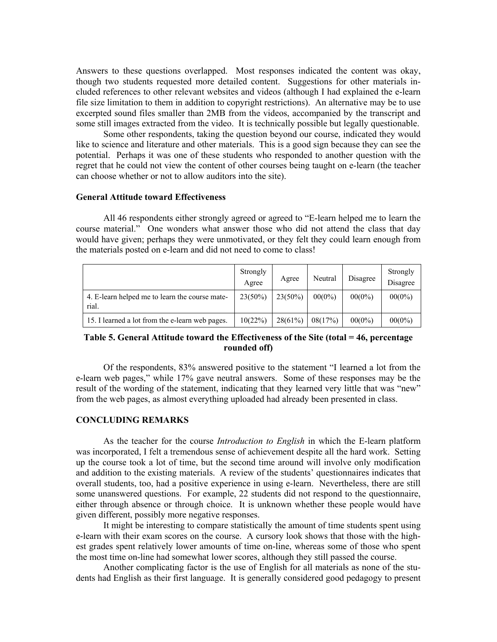Answers to these questions overlapped. Most responses indicated the content was okay, though two students requested more detailed content. Suggestions for other materials included references to other relevant websites and videos (although I had explained the e-learn file size limitation to them in addition to copyright restrictions). An alternative may be to use excerpted sound files smaller than 2MB from the videos, accompanied by the transcript and some still images extracted from the video. It is technically possible but legally questionable.

 Some other respondents, taking the question beyond our course, indicated they would like to science and literature and other materials. This is a good sign because they can see the potential. Perhaps it was one of these students who responded to another question with the regret that he could not view the content of other courses being taught on e-learn (the teacher can choose whether or not to allow auditors into the site).

#### **General Attitude toward Effectiveness**

All 46 respondents either strongly agreed or agreed to "E-learn helped me to learn the course material." One wonders what answer those who did not attend the class that day would have given; perhaps they were unmotivated, or they felt they could learn enough from the materials posted on e-learn and did not need to come to class!

|                                                         | Strongly<br>Agree | Agree      | Neutral   | Disagree  | Strongly<br>Disagree |
|---------------------------------------------------------|-------------------|------------|-----------|-----------|----------------------|
| 4. E-learn helped me to learn the course mate-<br>rial. | $23(50\%)$        | $23(50\%)$ | $00(0\%)$ | $00(0\%)$ | $00(0\%)$            |
| 15. I learned a lot from the e-learn web pages.         | 10(22%)           | 28(61%)    | 08(17%)   | $00(0\%)$ | $00(0\%)$            |

## **Table 5. General Attitude toward the Effectiveness of the Site (total = 46, percentage rounded off)**

 Of the respondents, 83% answered positive to the statement "I learned a lot from the e-learn web pages," while 17% gave neutral answers. Some of these responses may be the result of the wording of the statement, indicating that they learned very little that was "new" from the web pages, as almost everything uploaded had already been presented in class.

#### **CONCLUDING REMARKS**

 As the teacher for the course *Introduction to English* in which the E-learn platform was incorporated, I felt a tremendous sense of achievement despite all the hard work. Setting up the course took a lot of time, but the second time around will involve only modification and addition to the existing materials. A review of the students' questionnaires indicates that overall students, too, had a positive experience in using e-learn. Nevertheless, there are still some unanswered questions. For example, 22 students did not respond to the questionnaire, either through absence or through choice. It is unknown whether these people would have given different, possibly more negative responses.

 It might be interesting to compare statistically the amount of time students spent using e-learn with their exam scores on the course. A cursory look shows that those with the highest grades spent relatively lower amounts of time on-line, whereas some of those who spent the most time on-line had somewhat lower scores, although they still passed the course.

 Another complicating factor is the use of English for all materials as none of the students had English as their first language. It is generally considered good pedagogy to present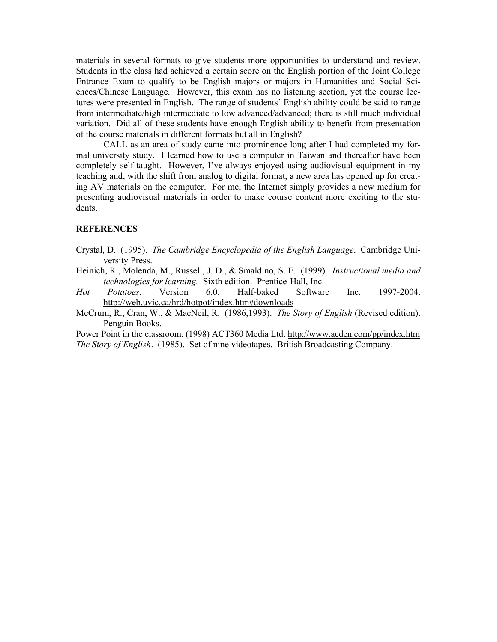materials in several formats to give students more opportunities to understand and review. Students in the class had achieved a certain score on the English portion of the Joint College Entrance Exam to qualify to be English majors or majors in Humanities and Social Sciences/Chinese Language. However, this exam has no listening section, yet the course lectures were presented in English. The range of students' English ability could be said to range from intermediate/high intermediate to low advanced/advanced; there is still much individual variation. Did all of these students have enough English ability to benefit from presentation of the course materials in different formats but all in English?

 CALL as an area of study came into prominence long after I had completed my formal university study. I learned how to use a computer in Taiwan and thereafter have been completely self-taught. However, I've always enjoyed using audiovisual equipment in my teaching and, with the shift from analog to digital format, a new area has opened up for creating AV materials on the computer. For me, the Internet simply provides a new medium for presenting audiovisual materials in order to make course content more exciting to the students.

## **REFERENCES**

- Crystal, D. (1995). *The Cambridge Encyclopedia of the English Language*. Cambridge University Press.
- Heinich, R., Molenda, M., Russell, J. D., & Smaldino, S. E. (1999). *Instructional media and technologies for learning.* Sixth edition. Prentice-Hall, Inc.
- *Hot Potatoes*, Version 6.0. Half-baked Software Inc. 1997-2004. http://web.uvic.ca/hrd/hotpot/index.htm#downloads
- McCrum, R., Cran, W., & MacNeil, R. (1986,1993). *The Story of English* (Revised edition). Penguin Books.

Power Point in the classroom. (1998) ACT360 Media Ltd. http://www.acden.com/pp/index.htm *The Story of English*. (1985). Set of nine videotapes. British Broadcasting Company.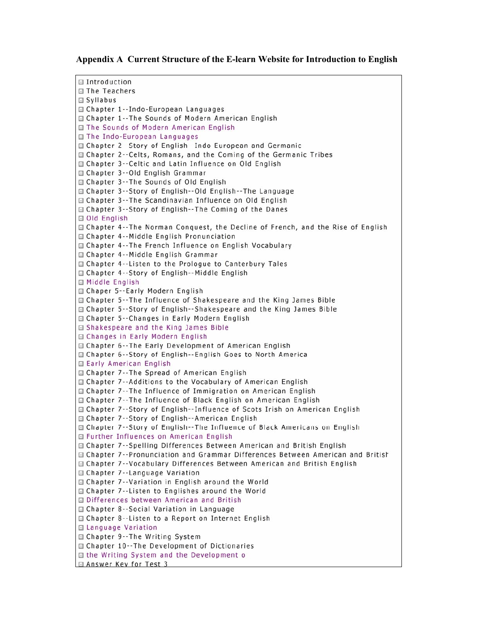#### **Appendix A Current Structure of the E-learn Website for Introduction to English**

Introduction □ The Teachers □ Syllabus □ Chapter 1--Indo-European Languages □ Chapter 1--The Sounds of Modern American English □ The Sounds of Modern American English □ The Indo-European Languages G Chapter 2--Story of English--Indo European and Germanic □ Chapter 2--Celts, Romans, and the Coming of the Germanic Tribes □ Chapter 3--Celtic and Latin Influence on Old English □ Chapter 3--Old English Grammar □ Chapter 3 -- The Sounds of Old English □ Chapter 3--Story of English--Old English--The Language □ Chapter 3--The Scandinavian Influence on Old English □ Chapter 3--Story of English--The Coming of the Danes □ Old English □ Chapter 4--The Norman Conquest, the Decline of French, and the Rise of English □ Chapter 4--Middle English Pronunciation □ Chapter 4--The French Influence on English Vocabulary □ Chapter 4--Middle English Grammar □ Chapter 4--Listen to the Prologue to Canterbury Tales □ Chapter 4--Story of English--Middle English **□ Middle English** □ Chaper 5--Early Modern English □ Chapter 5--The Influence of Shakespeare and the King James Bible □ Chapter 5--Story of English--Shakespeare and the King James Bible □ Chapter 5--Changes in Early Modern English □ Shakespeare and the King James Bible □ Changes in Early Modern English □ Chapter 6--The Early Development of American English □ Chapter 6--Story of English--English Goes to North America □ Early American English □ Chapter 7--The Spread of American English □ Chapter 7--Additions to the Vocabulary of American English □ Chapter 7--The Influence of Immigration on American English □ Chapter 7--The Influence of Black English on American English □ Chapter 7--Story of English--Influence of Scots Irish on American English □ Chapter 7--Story of English--American English □ Chapter 7--Story of English--The Influence of Black Americans on English Further Influences on American English G Chapter 7--Spelling Differences Between American and British English Chapter 7--Pronunciation and Grammar Differences Between American and British □ Chapter 7--Vocabulary Differences Between American and British English □ Chapter 7--Language Variation □ Chapter 7--Variation in English around the World □ Chapter 7--Listen to Englishes around the World Differences between American and British □ Chapter 8--Social Variation in Language □ Chapter 8--Listen to a Report on Internet English □ Language Variation □ Chapter 9--The Writing System □ Chapter 10--The Development of Dictionaries □ the Writing System and the Development o Answer Key for Test 3